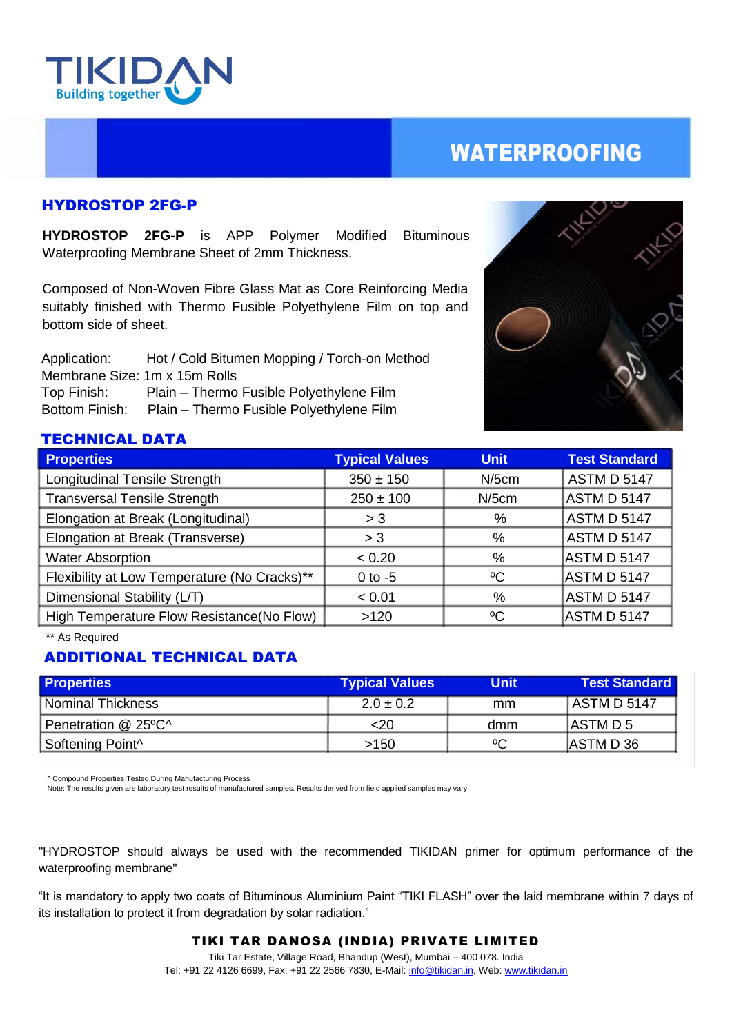

# WATERPROOFING

### HYDROSTOP 2FG-P

**HYDROSTOP 2FG-P** is APP Polymer Modified Bituminous Waterproofing Membrane Sheet of 2mm Thickness.

Composed of Non-Woven Fibre Glass Mat as Core Reinforcing Media suitably finished with Thermo Fusible Polyethylene Film on top and bottom side of sheet.

 Application: Hot / Cold Bitumen Mopping / Torch-on Method Membrane Size: 1m x 15m Rolls Top Finish: Plain – Thermo Fusible Polyethylene Film Bottom Finish: Plain – Thermo Fusible Polyethylene Film



### TECHNICAL DATA

| <b>Properties</b>                            | <b>Typical Values</b> | <b>Unit</b> | <b>Test Standard</b> |
|----------------------------------------------|-----------------------|-------------|----------------------|
| Longitudinal Tensile Strength                | $350 \pm 150$         | $N/5$ cm    | <b>ASTM D 5147</b>   |
| <b>Transversal Tensile Strength</b>          | $250 \pm 100$         | $N/5$ cm    | ASTM D 5147          |
| Elongation at Break (Longitudinal)           | > 3                   | %           | ASTM D 5147          |
| Elongation at Break (Transverse)             | > 3                   | %           | <b>ASTM D 5147</b>   |
| <b>Water Absorption</b>                      | < 0.20                | %           | ASTM D 5147          |
| Flexibility at Low Temperature (No Cracks)** | $0$ to $-5$           | $\rm ^{o}C$ | ASTM D 5147          |
| Dimensional Stability (L/T)                  | < 0.01                | %           | ASTM D 5147          |
| High Temperature Flow Resistance(No Flow)    | >120                  | °C          | ASTM D 5147          |

\*\* As Required

# ADDITIONAL TECHNICAL DATA

| <b>Properties</b>            | <b>Typical Values</b> | Unit | <b>Test Standard</b> |
|------------------------------|-----------------------|------|----------------------|
| l Nominal Thickness i        | $2.0 \pm 0.2$         | mm   | ASTM D 5147          |
| Penetration @ 25°C^          | $<$ 20                | dmm  | IASTM D 5            |
| Softening Point <sup>^</sup> | >150                  | °C   | <b>JASTMD36</b>      |

^ Compound Properties Tested During Manufacturing Process

Note: The results given are laboratory test results of manufactured samples. Results derived from field applied samples may vary

"HYDROSTOP should always be used with the recommended TIKIDAN primer for optimum performance of the waterproofing membrane"

"It is mandatory to apply two coats of Bituminous Aluminium Paint "TIKI FLASH" over the laid membrane within 7 days of its installation to protect it from degradation by solar radiation."

#### TIKI TAR DANOSA (INDIA) PRIVATE LIMITED